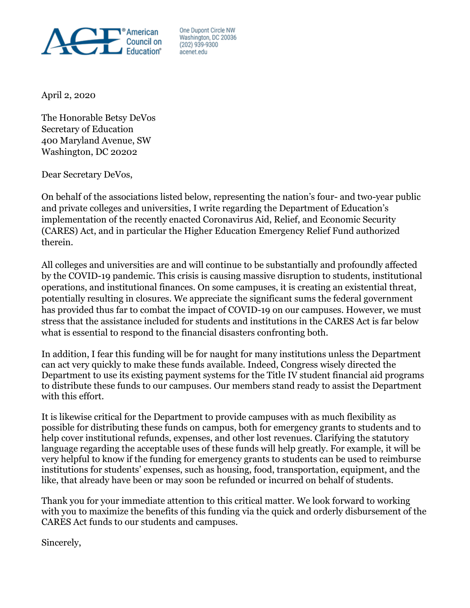

One Dupont Circle NW Washington, DC 20036 (202) 939-9300 acenet edu

April 2, 2020

The Honorable Betsy DeVos Secretary of Education 400 Maryland Avenue, SW Washington, DC 20202

Dear Secretary DeVos,

On behalf of the associations listed below, representing the nation's four- and two-year public and private colleges and universities, I write regarding the Department of Education's implementation of the recently enacted Coronavirus Aid, Relief, and Economic Security (CARES) Act, and in particular the Higher Education Emergency Relief Fund authorized therein.

All colleges and universities are and will continue to be substantially and profoundly affected by the COVID-19 pandemic. This crisis is causing massive disruption to students, institutional operations, and institutional finances. On some campuses, it is creating an existential threat, potentially resulting in closures. We appreciate the significant sums the federal government has provided thus far to combat the impact of COVID-19 on our campuses. However, we must stress that the assistance included for students and institutions in the CARES Act is far below what is essential to respond to the financial disasters confronting both.

In addition, I fear this funding will be for naught for many institutions unless the Department can act very quickly to make these funds available. Indeed, Congress wisely directed the Department to use its existing payment systems for the Title IV student financial aid programs to distribute these funds to our campuses. Our members stand ready to assist the Department with this effort.

It is likewise critical for the Department to provide campuses with as much flexibility as possible for distributing these funds on campus, both for emergency grants to students and to help cover institutional refunds, expenses, and other lost revenues. Clarifying the statutory language regarding the acceptable uses of these funds will help greatly. For example, it will be very helpful to know if the funding for emergency grants to students can be used to reimburse institutions for students' expenses, such as housing, food, transportation, equipment, and the like, that already have been or may soon be refunded or incurred on behalf of students.

Thank you for your immediate attention to this critical matter. We look forward to working with you to maximize the benefits of this funding via the quick and orderly disbursement of the CARES Act funds to our students and campuses.

Sincerely,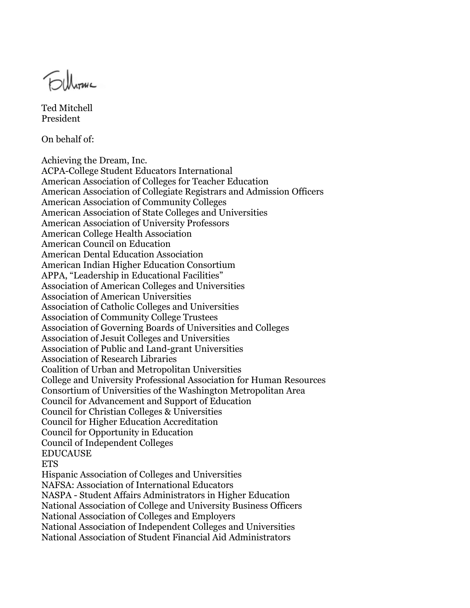Fillmu

Ted Mitchell President

On behalf of:

Achieving the Dream, Inc. ACPA-College Student Educators International American Association of Colleges for Teacher Education American Association of Collegiate Registrars and Admission Officers American Association of Community Colleges American Association of State Colleges and Universities American Association of University Professors American College Health Association American Council on Education American Dental Education Association American Indian Higher Education Consortium APPA, "Leadership in Educational Facilities" Association of American Colleges and Universities Association of American Universities Association of Catholic Colleges and Universities Association of Community College Trustees Association of Governing Boards of Universities and Colleges Association of Jesuit Colleges and Universities Association of Public and Land-grant Universities Association of Research Libraries Coalition of Urban and Metropolitan Universities College and University Professional Association for Human Resources Consortium of Universities of the Washington Metropolitan Area Council for Advancement and Support of Education Council for Christian Colleges & Universities Council for Higher Education Accreditation Council for Opportunity in Education Council of Independent Colleges EDUCAUSE ETS Hispanic Association of Colleges and Universities NAFSA: Association of International Educators NASPA - Student Affairs Administrators in Higher Education National Association of College and University Business Officers National Association of Colleges and Employers National Association of Independent Colleges and Universities National Association of Student Financial Aid Administrators